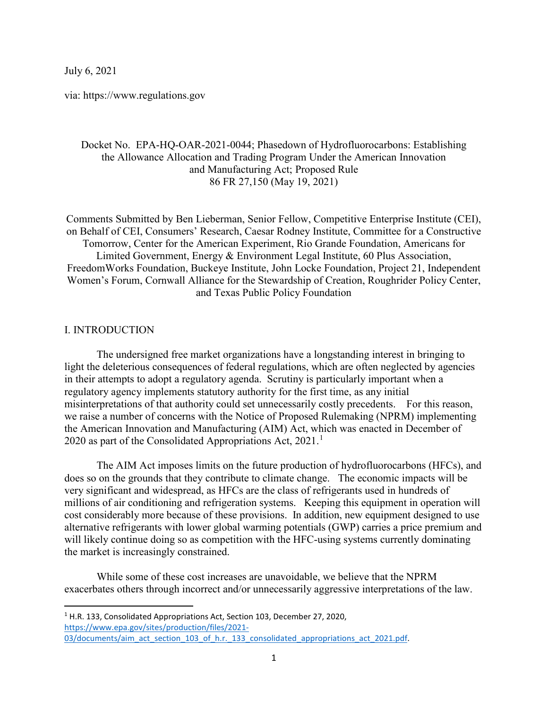July 6, 2021

via: https://www.regulations.gov

# Docket No. EPA-HQ-OAR-2021-0044; Phasedown of Hydrofluorocarbons: Establishing the Allowance Allocation and Trading Program Under the American Innovation and Manufacturing Act; Proposed Rule 86 FR 27,150 (May 19, 2021)

Comments Submitted by Ben Lieberman, Senior Fellow, Competitive Enterprise Institute (CEI), on Behalf of CEI, Consumers' Research, Caesar Rodney Institute, Committee for a Constructive Tomorrow, Center for the American Experiment, Rio Grande Foundation, Americans for Limited Government, Energy & Environment Legal Institute, 60 Plus Association, FreedomWorks Foundation, Buckeye Institute, John Locke Foundation, Project 21, Independent Women's Forum, Cornwall Alliance for the Stewardship of Creation, Roughrider Policy Center, and Texas Public Policy Foundation

### I. INTRODUCTION

The undersigned free market organizations have a longstanding interest in bringing to light the deleterious consequences of federal regulations, which are often neglected by agencies in their attempts to adopt a regulatory agenda. Scrutiny is particularly important when a regulatory agency implements statutory authority for the first time, as any initial misinterpretations of that authority could set unnecessarily costly precedents. For this reason, we raise a number of concerns with the Notice of Proposed Rulemaking (NPRM) implementing the American Innovation and Manufacturing (AIM) Act, which was enacted in December of 2020 as part of the Consolidated Appropriations Act,  $2021$  $2021$ .<sup>1</sup>

The AIM Act imposes limits on the future production of hydrofluorocarbons (HFCs), and does so on the grounds that they contribute to climate change. The economic impacts will be very significant and widespread, as HFCs are the class of refrigerants used in hundreds of millions of air conditioning and refrigeration systems. Keeping this equipment in operation will cost considerably more because of these provisions. In addition, new equipment designed to use alternative refrigerants with lower global warming potentials (GWP) carries a price premium and will likely continue doing so as competition with the HFC-using systems currently dominating the market is increasingly constrained.

While some of these cost increases are unavoidable, we believe that the NPRM exacerbates others through incorrect and/or unnecessarily aggressive interpretations of the law.

<span id="page-0-0"></span><sup>1</sup> H.R. 133, Consolidated Appropriations Act, Section 103, December 27, 2020, [https://www.epa.gov/sites/production/files/2021-](https://www.epa.gov/sites/production/files/2021-03/documents/aim_act_section_103_of_h.r._133_consolidated_appropriations_act_2021.pdf) 03/documents/aim\_act\_section\_103\_of\_h.r.\_133\_consolidated\_appropriations\_act\_2021.pdf.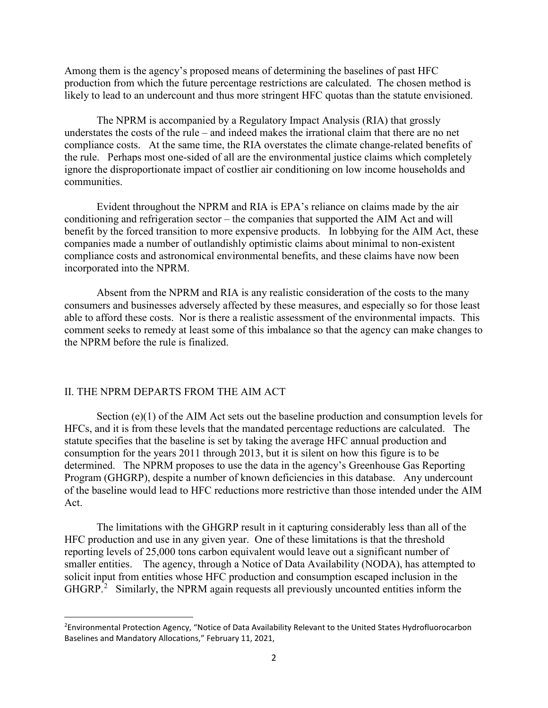Among them is the agency's proposed means of determining the baselines of past HFC production from which the future percentage restrictions are calculated. The chosen method is likely to lead to an undercount and thus more stringent HFC quotas than the statute envisioned.

The NPRM is accompanied by a Regulatory Impact Analysis (RIA) that grossly understates the costs of the rule – and indeed makes the irrational claim that there are no net compliance costs. At the same time, the RIA overstates the climate change-related benefits of the rule. Perhaps most one-sided of all are the environmental justice claims which completely ignore the disproportionate impact of costlier air conditioning on low income households and communities.

Evident throughout the NPRM and RIA is EPA's reliance on claims made by the air conditioning and refrigeration sector – the companies that supported the AIM Act and will benefit by the forced transition to more expensive products. In lobbying for the AIM Act, these companies made a number of outlandishly optimistic claims about minimal to non-existent compliance costs and astronomical environmental benefits, and these claims have now been incorporated into the NPRM.

Absent from the NPRM and RIA is any realistic consideration of the costs to the many consumers and businesses adversely affected by these measures, and especially so for those least able to afford these costs. Nor is there a realistic assessment of the environmental impacts. This comment seeks to remedy at least some of this imbalance so that the agency can make changes to the NPRM before the rule is finalized.

#### II. THE NPRM DEPARTS FROM THE AIM ACT

Section (e)(1) of the AIM Act sets out the baseline production and consumption levels for HFCs, and it is from these levels that the mandated percentage reductions are calculated. The statute specifies that the baseline is set by taking the average HFC annual production and consumption for the years 2011 through 2013, but it is silent on how this figure is to be determined. The NPRM proposes to use the data in the agency's Greenhouse Gas Reporting Program (GHGRP), despite a number of known deficiencies in this database. Any undercount of the baseline would lead to HFC reductions more restrictive than those intended under the AIM Act.

The limitations with the GHGRP result in it capturing considerably less than all of the HFC production and use in any given year. One of these limitations is that the threshold reporting levels of 25,000 tons carbon equivalent would leave out a significant number of smaller entities. The agency, through a Notice of Data Availability (NODA), has attempted to solicit input from entities whose HFC production and consumption escaped inclusion in the GHGRP.<sup>[2](#page-1-0)</sup> Similarly, the NPRM again requests all previously uncounted entities inform the

<span id="page-1-0"></span> $\overline{2}$ <sup>2</sup>Environmental Protection Agency, "Notice of Data Availability Relevant to the United States Hydrofluorocarbon Baselines and Mandatory Allocations," February 11, 2021,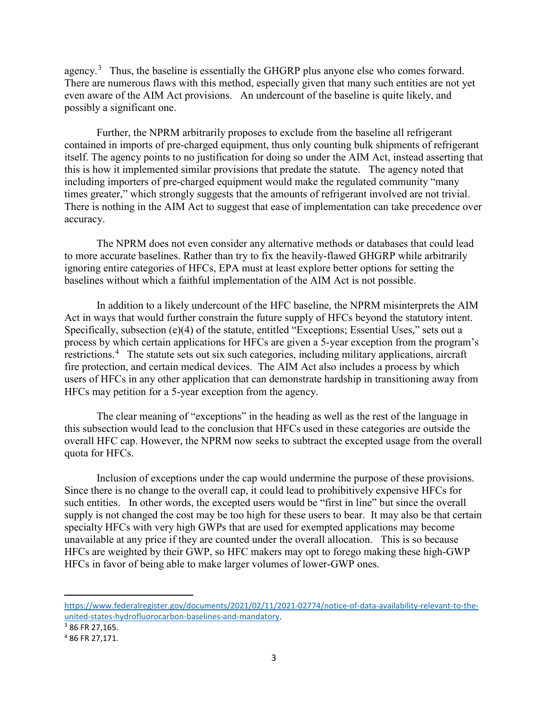agency.<sup>[3](#page-2-0)</sup> Thus, the baseline is essentially the GHGRP plus anyone else who comes forward. There are numerous flaws with this method, especially given that many such entities are not yet even aware of the AIM Act provisions. An undercount of the baseline is quite likely, and possibly a significant one.

Further, the NPRM arbitrarily proposes to exclude from the baseline all refrigerant contained in imports of pre-charged equipment, thus only counting bulk shipments of refrigerant itself. The agency points to no justification for doing so under the AIM Act, instead asserting that this is how it implemented similar provisions that predate the statute. The agency noted that including importers of pre-charged equipment would make the regulated community "many times greater," which strongly suggests that the amounts of refrigerant involved are not trivial. There is nothing in the AIM Act to suggest that ease of implementation can take precedence over accuracy.

The NPRM does not even consider any alternative methods or databases that could lead to more accurate baselines. Rather than try to fix the heavily-flawed GHGRP while arbitrarily ignoring entire categories of HFCs, EPA must at least explore better options for setting the baselines without which a faithful implementation of the AIM Act is not possible.

In addition to a likely undercount of the HFC baseline, the NPRM misinterprets the AIM Act in ways that would further constrain the future supply of HFCs beyond the statutory intent. Specifically, subsection (e)(4) of the statute, entitled "Exceptions; Essential Uses," sets out a process by which certain applications for HFCs are given a 5-year exception from the program's restrictions.<sup>[4](#page-2-1)</sup> The statute sets out six such categories, including military applications, aircraft fire protection, and certain medical devices. The AIM Act also includes a process by which users of HFCs in any other application that can demonstrate hardship in transitioning away from HFCs may petition for a 5-year exception from the agency.

The clear meaning of "exceptions" in the heading as well as the rest of the language in this subsection would lead to the conclusion that HFCs used in these categories are outside the overall HFC cap. However, the NPRM now seeks to subtract the excepted usage from the overall quota for HFCs.

Inclusion of exceptions under the cap would undermine the purpose of these provisions. Since there is no change to the overall cap, it could lead to prohibitively expensive HFCs for such entities. In other words, the excepted users would be "first in line" but since the overall supply is not changed the cost may be too high for these users to bear. It may also be that certain specialty HFCs with very high GWPs that are used for exempted applications may become unavailable at any price if they are counted under the overall allocation. This is so because HFCs are weighted by their GWP, so HFC makers may opt to forego making these high-GWP HFCs in favor of being able to make larger volumes of lower-GWP ones.

[https://www.federalregister.gov/documents/2021/02/11/2021-02774/notice-of-data-availability-relevant-to-the](https://www.federalregister.gov/documents/2021/02/11/2021-02774/notice-of-data-availability-relevant-to-the-united-states-hydrofluorocarbon-baselines-and-mandatory)united-states-hydrofluorocarbon-baselines-and-mandatory.<br><sup>3</sup> 86 FR 27,165.

 $\overline{\phantom{a}}$ 

<span id="page-2-0"></span>

<span id="page-2-1"></span><sup>4</sup> 86 FR 27,171.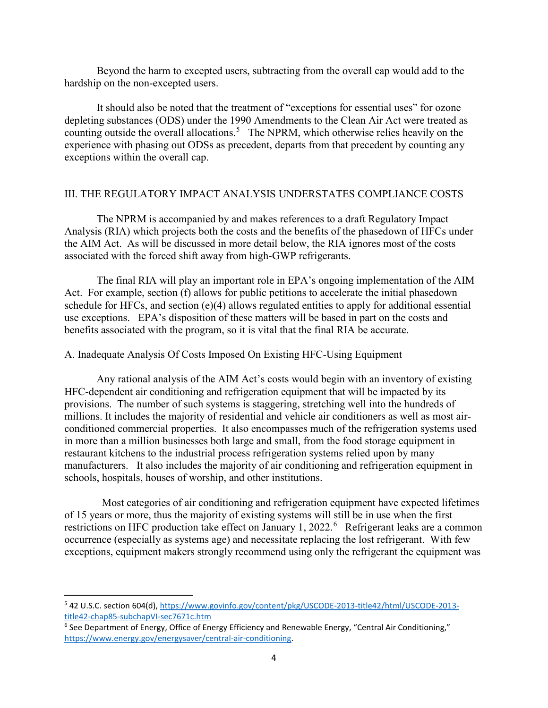Beyond the harm to excepted users, subtracting from the overall cap would add to the hardship on the non-excepted users.

It should also be noted that the treatment of "exceptions for essential uses" for ozone depleting substances (ODS) under the 1990 Amendments to the Clean Air Act were treated as counting outside the overall allocations.<sup>[5](#page-3-0)</sup> The NPRM, which otherwise relies heavily on the experience with phasing out ODSs as precedent, departs from that precedent by counting any exceptions within the overall cap.

# III. THE REGULATORY IMPACT ANALYSIS UNDERSTATES COMPLIANCE COSTS

The NPRM is accompanied by and makes references to a draft Regulatory Impact Analysis (RIA) which projects both the costs and the benefits of the phasedown of HFCs under the AIM Act. As will be discussed in more detail below, the RIA ignores most of the costs associated with the forced shift away from high-GWP refrigerants.

The final RIA will play an important role in EPA's ongoing implementation of the AIM Act. For example, section (f) allows for public petitions to accelerate the initial phasedown schedule for HFCs, and section (e)(4) allows regulated entities to apply for additional essential use exceptions. EPA's disposition of these matters will be based in part on the costs and benefits associated with the program, so it is vital that the final RIA be accurate.

# A. Inadequate Analysis Of Costs Imposed On Existing HFC-Using Equipment

Any rational analysis of the AIM Act's costs would begin with an inventory of existing HFC-dependent air conditioning and refrigeration equipment that will be impacted by its provisions. The number of such systems is staggering, stretching well into the hundreds of millions. It includes the majority of residential and vehicle air conditioners as well as most airconditioned commercial properties. It also encompasses much of the refrigeration systems used in more than a million businesses both large and small, from the food storage equipment in restaurant kitchens to the industrial process refrigeration systems relied upon by many manufacturers. It also includes the majority of air conditioning and refrigeration equipment in schools, hospitals, houses of worship, and other institutions.

 Most categories of air conditioning and refrigeration equipment have expected lifetimes of 15 years or more, thus the majority of existing systems will still be in use when the first restrictions on HFC production take effect on January 1, 2022.<sup>[6](#page-3-1)</sup> Refrigerant leaks are a common occurrence (especially as systems age) and necessitate replacing the lost refrigerant. With few exceptions, equipment makers strongly recommend using only the refrigerant the equipment was

<span id="page-3-0"></span> <sup>5</sup> 42 U.S.C. section 604(d), [https://www.govinfo.gov/content/pkg/USCODE-2013-title42/html/USCODE-2013](https://www.govinfo.gov/content/pkg/USCODE-2013-title42/html/USCODE-2013-title42-chap85-subchapVI-sec7671c.htm) [title42-chap85-subchapVI-sec7671c.htm](https://www.govinfo.gov/content/pkg/USCODE-2013-title42/html/USCODE-2013-title42-chap85-subchapVI-sec7671c.htm)

<span id="page-3-1"></span><sup>&</sup>lt;sup>6</sup> See Department of Energy, Office of Energy Efficiency and Renewable Energy, "Central Air Conditioning," [https://www.energy.gov/energysaver/central-air-conditioning.](https://www.energy.gov/energysaver/central-air-conditioning)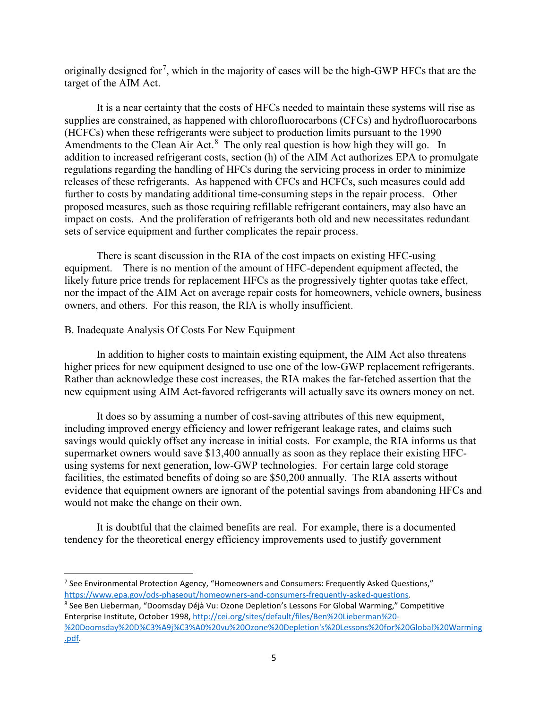originally designed for<sup>[7](#page-4-0)</sup>, which in the majority of cases will be the high-GWP HFCs that are the target of the AIM Act.

It is a near certainty that the costs of HFCs needed to maintain these systems will rise as supplies are constrained, as happened with chlorofluorocarbons (CFCs) and hydrofluorocarbons (HCFCs) when these refrigerants were subject to production limits pursuant to the 1990 Amendments to the Clean Air Act. $8$  The only real question is how high they will go. In addition to increased refrigerant costs, section (h) of the AIM Act authorizes EPA to promulgate regulations regarding the handling of HFCs during the servicing process in order to minimize releases of these refrigerants. As happened with CFCs and HCFCs, such measures could add further to costs by mandating additional time-consuming steps in the repair process. Other proposed measures, such as those requiring refillable refrigerant containers, may also have an impact on costs. And the proliferation of refrigerants both old and new necessitates redundant sets of service equipment and further complicates the repair process.

There is scant discussion in the RIA of the cost impacts on existing HFC-using equipment. There is no mention of the amount of HFC-dependent equipment affected, the likely future price trends for replacement HFCs as the progressively tighter quotas take effect, nor the impact of the AIM Act on average repair costs for homeowners, vehicle owners, business owners, and others. For this reason, the RIA is wholly insufficient.

### B. Inadequate Analysis Of Costs For New Equipment

In addition to higher costs to maintain existing equipment, the AIM Act also threatens higher prices for new equipment designed to use one of the low-GWP replacement refrigerants. Rather than acknowledge these cost increases, the RIA makes the far-fetched assertion that the new equipment using AIM Act-favored refrigerants will actually save its owners money on net.

It does so by assuming a number of cost-saving attributes of this new equipment, including improved energy efficiency and lower refrigerant leakage rates, and claims such savings would quickly offset any increase in initial costs. For example, the RIA informs us that supermarket owners would save \$13,400 annually as soon as they replace their existing HFCusing systems for next generation, low-GWP technologies. For certain large cold storage facilities, the estimated benefits of doing so are \$50,200 annually. The RIA asserts without evidence that equipment owners are ignorant of the potential savings from abandoning HFCs and would not make the change on their own.

It is doubtful that the claimed benefits are real. For example, there is a documented tendency for the theoretical energy efficiency improvements used to justify government

<span id="page-4-0"></span> $<sup>7</sup>$  See Environmental Protection Agency, "Homeowners and Consumers: Frequently Asked Questions,"</sup> [https://www.epa.gov/ods-phaseout/homeowners-and-consumers-frequently-asked-questions.](https://www.epa.gov/ods-phaseout/homeowners-and-consumers-frequently-asked-questions)<br><sup>8</sup> See Ben Lieberman, "Doomsday Déjà Vu: Ozone Depletion's Lessons For Global Warming," Competitive

<span id="page-4-1"></span>Enterprise Institute, October 1998, [http://cei.org/sites/default/files/Ben%20Lieberman%20-](http://cei.org/sites/default/files/Ben%20Lieberman%20-%20Doomsday%20D%C3%A9j%C3%A0%20vu%20Ozone%20Depletion) [%20Doomsday%20D%C3%A9j%C3%A0%20vu%20Ozone%20Depletion's%20Lessons%20for%20Global%20Warming](http://cei.org/sites/default/files/Ben%20Lieberman%20-%20Doomsday%20D%C3%A9j%C3%A0%20vu%20Ozone%20Depletion) [.pdf.](http://cei.org/sites/default/files/Ben%20Lieberman%20-%20Doomsday%20D%C3%A9j%C3%A0%20vu%20Ozone%20Depletion)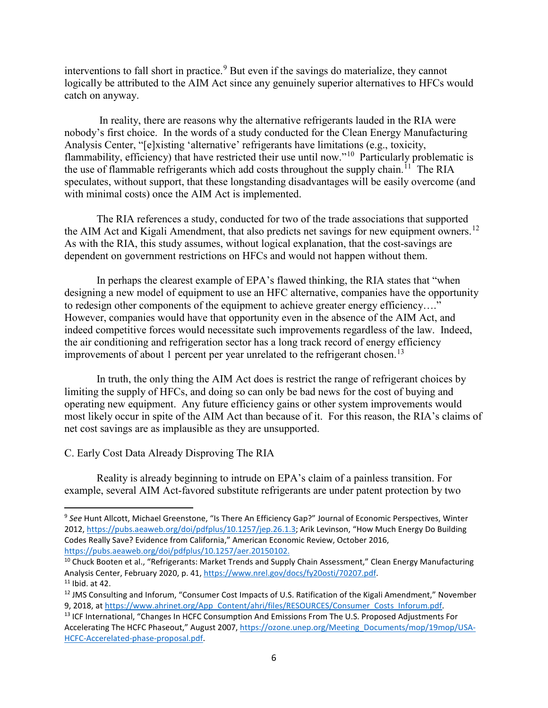interventions to fall short in practice.<sup>[9](#page-5-0)</sup> But even if the savings do materialize, they cannot logically be attributed to the AIM Act since any genuinely superior alternatives to HFCs would catch on anyway.

In reality, there are reasons why the alternative refrigerants lauded in the RIA were nobody's first choice. In the words of a study conducted for the Clean Energy Manufacturing Analysis Center, "[e]xisting 'alternative' refrigerants have limitations (e.g., toxicity, flammability, efficiency) that have restricted their use until now."<sup>[10](#page-5-1)</sup> Particularly problematic is the use of flammable refrigerants which add costs throughout the supply chain.<sup>11</sup> The RIA speculates, without support, that these longstanding disadvantages will be easily overcome (and with minimal costs) once the AIM Act is implemented.

The RIA references a study, conducted for two of the trade associations that supported the AIM Act and Kigali Amendment, that also predicts net savings for new equipment owners.<sup>12</sup> As with the RIA, this study assumes, without logical explanation, that the cost-savings are dependent on government restrictions on HFCs and would not happen without them.

In perhaps the clearest example of EPA's flawed thinking, the RIA states that "when designing a new model of equipment to use an HFC alternative, companies have the opportunity to redesign other components of the equipment to achieve greater energy efficiency…." However, companies would have that opportunity even in the absence of the AIM Act, and indeed competitive forces would necessitate such improvements regardless of the law. Indeed, the air conditioning and refrigeration sector has a long track record of energy efficiency improvements of about 1 percent per year unrelated to the refrigerant chosen.<sup>[13](#page-5-4)</sup>

In truth, the only thing the AIM Act does is restrict the range of refrigerant choices by limiting the supply of HFCs, and doing so can only be bad news for the cost of buying and operating new equipment. Any future efficiency gains or other system improvements would most likely occur in spite of the AIM Act than because of it. For this reason, the RIA's claims of net cost savings are as implausible as they are unsupported.

### C. Early Cost Data Already Disproving The RIA

Reality is already beginning to intrude on EPA's claim of a painless transition. For example, several AIM Act-favored substitute refrigerants are under patent protection by two

<span id="page-5-0"></span> <sup>9</sup> *See* Hunt Allcott, Michael Greenstone, "Is There An Efficiency Gap?" Journal of Economic Perspectives, Winter 2012, [https://pubs.aeaweb.org/doi/pdfplus/10.1257/jep.26.1.3;](https://pubs.aeaweb.org/doi/pdfplus/10.1257/jep.26.1.3) Arik Levinson, "How Much Energy Do Building Codes Really Save? Evidence from California," American Economic Review, October 2016, [https://pubs.aeaweb.org/doi/pdfplus/10.1257/aer.20150102.](https://pubs.aeaweb.org/doi/pdfplus/10.1257/aer.20150102)

<span id="page-5-1"></span><sup>&</sup>lt;sup>10</sup> Chuck Booten et al., "Refrigerants: Market Trends and Supply Chain Assessment," Clean Energy Manufacturing Analysis Center, February 2020, p. 41, https://www.nrel.gov/docs/fy20osti/70207.pdf.<br><sup>11</sup> Ibid. at 42.

<span id="page-5-3"></span><span id="page-5-2"></span><sup>&</sup>lt;sup>12</sup> JMS Consulting and Inforum, "Consumer Cost Impacts of U.S. Ratification of the Kigali Amendment," November 9, 2018, at [https://www.ahrinet.org/App\\_Content/ahri/files/RESOURCES/Consumer\\_Costs\\_Inforum.pdf.](https://www.ahrinet.org/App_Content/ahri/files/RESOURCES/Consumer_Costs_Inforum.pdf) 13 ICF International, "Changes In HCFC Consumption And Emissions From The U.S. Proposed Adjustments For

<span id="page-5-4"></span>Accelerating The HCFC Phaseout," August 2007, [https://ozone.unep.org/Meeting\\_Documents/mop/19mop/USA-](https://ozone.unep.org/Meeting_Documents/mop/19mop/USA-HCFC-Accerelated-phase-proposal.pdf)[HCFC-Accerelated-phase-proposal.pdf.](https://ozone.unep.org/Meeting_Documents/mop/19mop/USA-HCFC-Accerelated-phase-proposal.pdf)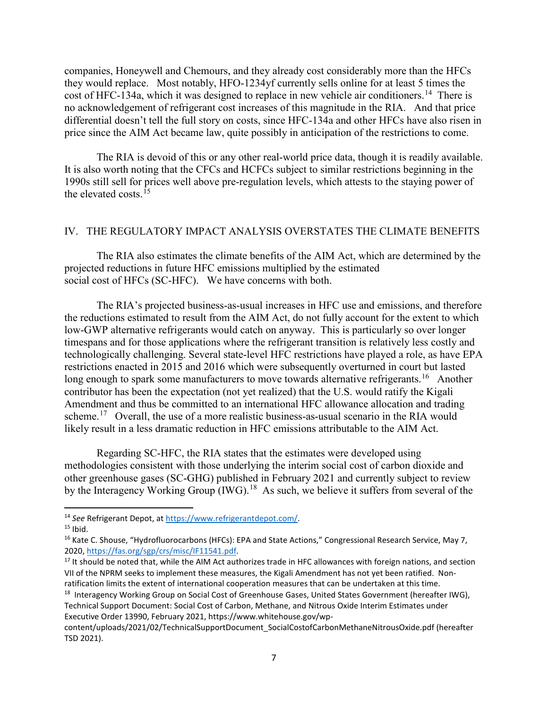companies, Honeywell and Chemours, and they already cost considerably more than the HFCs they would replace. Most notably, HFO-1234yf currently sells online for at least 5 times the cost of HFC-134a, which it was designed to replace in new vehicle air conditioners.<sup>14</sup> There is no acknowledgement of refrigerant cost increases of this magnitude in the RIA. And that price differential doesn't tell the full story on costs, since HFC-134a and other HFCs have also risen in price since the AIM Act became law, quite possibly in anticipation of the restrictions to come.

The RIA is devoid of this or any other real-world price data, though it is readily available. It is also worth noting that the CFCs and HCFCs subject to similar restrictions beginning in the 1990s still sell for prices well above pre-regulation levels, which attests to the staying power of the elevated costs  $15$ 

# IV. THE REGULATORY IMPACT ANALYSIS OVERSTATES THE CLIMATE BENEFITS

The RIA also estimates the climate benefits of the AIM Act, which are determined by the projected reductions in future HFC emissions multiplied by the estimated social cost of HFCs (SC-HFC). We have concerns with both.

The RIA's projected business-as-usual increases in HFC use and emissions, and therefore the reductions estimated to result from the AIM Act, do not fully account for the extent to which low-GWP alternative refrigerants would catch on anyway. This is particularly so over longer timespans and for those applications where the refrigerant transition is relatively less costly and technologically challenging. Several state-level HFC restrictions have played a role, as have EPA restrictions enacted in 2015 and 2016 which were subsequently overturned in court but lasted long enough to spark some manufacturers to move towards alternative refrigerants.<sup>16</sup> Another contributor has been the expectation (not yet realized) that the U.S. would ratify the Kigali Amendment and thus be committed to an international HFC allowance allocation and trading scheme.<sup>17</sup> Overall, the use of a more realistic business-as-usual scenario in the RIA would likely result in a less dramatic reduction in HFC emissions attributable to the AIM Act.

Regarding SC-HFC, the RIA states that the estimates were developed using methodologies consistent with those underlying the interim social cost of carbon dioxide and other greenhouse gases (SC-GHG) published in February 2021 and currently subject to review by the Interagency Working Group (IWG).<sup>[18](#page-6-4)</sup> As such, we believe it suffers from several of the

<span id="page-6-0"></span><sup>&</sup>lt;sup>14</sup> See Refrigerant Depot, at [https://www.refrigerantdepot.com/.](https://www.refrigerantdepot.com/)<br><sup>15</sup> Ibid.

<span id="page-6-1"></span>

<span id="page-6-2"></span><sup>&</sup>lt;sup>16</sup> Kate C. Shouse, "Hydrofluorocarbons (HFCs): EPA and State Actions," Congressional Research Service, May 7,<br>2020, https://fas.org/sgp/crs/misc/IF11541.pdf.

<span id="page-6-3"></span><sup>&</sup>lt;sup>17</sup> It should be noted that, while the AIM Act authorizes trade in HFC allowances with foreign nations, and section VII of the NPRM seeks to implement these measures, the Kigali Amendment has not yet been ratified. Nonratification limits the extent of international cooperation measures that can be undertaken at this time.<br><sup>18</sup> Interagency Working Group on Social Cost of Greenhouse Gases, United States Government (hereafter IWG),

<span id="page-6-4"></span>Technical Support Document: Social Cost of Carbon, Methane, and Nitrous Oxide Interim Estimates under Executive Order 13990, February 2021, https://www.whitehouse.gov/wp-

content/uploads/2021/02/TechnicalSupportDocument\_SocialCostofCarbonMethaneNitrousOxide.pdf (hereafter TSD 2021).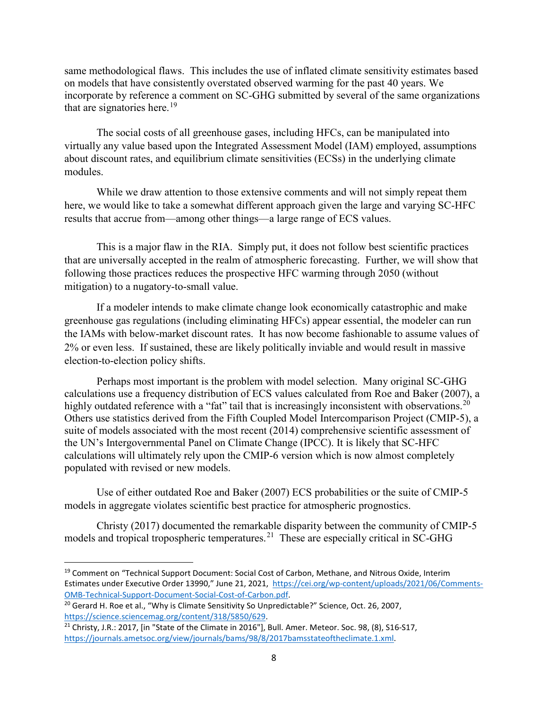same methodological flaws. This includes the use of inflated climate sensitivity estimates based on models that have consistently overstated observed warming for the past 40 years. We incorporate by reference a comment on SC-GHG submitted by several of the same organizations that are signatories here.<sup>[19](#page-7-0)</sup>

The social costs of all greenhouse gases, including HFCs, can be manipulated into virtually any value based upon the Integrated Assessment Model (IAM) employed, assumptions about discount rates, and equilibrium climate sensitivities (ECSs) in the underlying climate modules.

While we draw attention to those extensive comments and will not simply repeat them here, we would like to take a somewhat different approach given the large and varying SC-HFC results that accrue from—among other things—a large range of ECS values.

This is a major flaw in the RIA. Simply put, it does not follow best scientific practices that are universally accepted in the realm of atmospheric forecasting. Further, we will show that following those practices reduces the prospective HFC warming through 2050 (without mitigation) to a nugatory-to-small value.

If a modeler intends to make climate change look economically catastrophic and make greenhouse gas regulations (including eliminating HFCs) appear essential, the modeler can run the IAMs with below-market discount rates. It has now become fashionable to assume values of 2% or even less. If sustained, these are likely politically inviable and would result in massive election-to-election policy shifts.

Perhaps most important is the problem with model selection. Many original SC-GHG calculations use a frequency distribution of ECS values calculated from Roe and Baker (2007), a highly outdated reference with a "fat" tail that is increasingly inconsistent with observations.<sup>[20](#page-7-1)</sup> Others use statistics derived from the Fifth Coupled Model Intercomparison Project (CMIP-5), a suite of models associated with the most recent (2014) comprehensive scientific assessment of the UN's Intergovernmental Panel on Climate Change (IPCC). It is likely that SC-HFC calculations will ultimately rely upon the CMIP-6 version which is now almost completely populated with revised or new models.

Use of either outdated Roe and Baker (2007) ECS probabilities or the suite of CMIP-5 models in aggregate violates scientific best practice for atmospheric prognostics.

Christy (2017) documented the remarkable disparity between the community of CMIP-5 models and tropical tropospheric temperatures.<sup>[21](#page-7-2)</sup> These are especially critical in SC-GHG

<span id="page-7-0"></span><sup>&</sup>lt;sup>19</sup> Comment on "Technical Support Document: Social Cost of Carbon, Methane, and Nitrous Oxide, Interim Estimates under Executive Order 13990," June 21, 2021, [https://cei.org/wp-content/uploads/2021/06/Comments-](https://cei.org/wp-content/uploads/2021/06/Comments-OMB-Technical-Support-Document-Social-Cost-of-Carbon.pdf)[OMB-Technical-Support-Document-Social-Cost-of-Carbon.pdf.](https://cei.org/wp-content/uploads/2021/06/Comments-OMB-Technical-Support-Document-Social-Cost-of-Carbon.pdf) 20 Gerard H. Roe et al., "Why is Climate Sensitivity So Unpredictable?" Science, Oct. 26, 2007,

<span id="page-7-1"></span>[https://science.sciencemag.org/content/318/5850/629.](https://science.sciencemag.org/content/318/5850/629)<br><sup>21</sup> Christy, J.R.: 2017, [in "State of the Climate in 2016"], Bull. Amer. Meteor. Soc. 98, (8), S16-S17,

<span id="page-7-2"></span>[https://journals.ametsoc.org/view/journals/bams/98/8/2017bamsstateoftheclimate.1.xml.](https://journals.ametsoc.org/view/journals/bams/98/8/2017bamsstateoftheclimate.1.xml)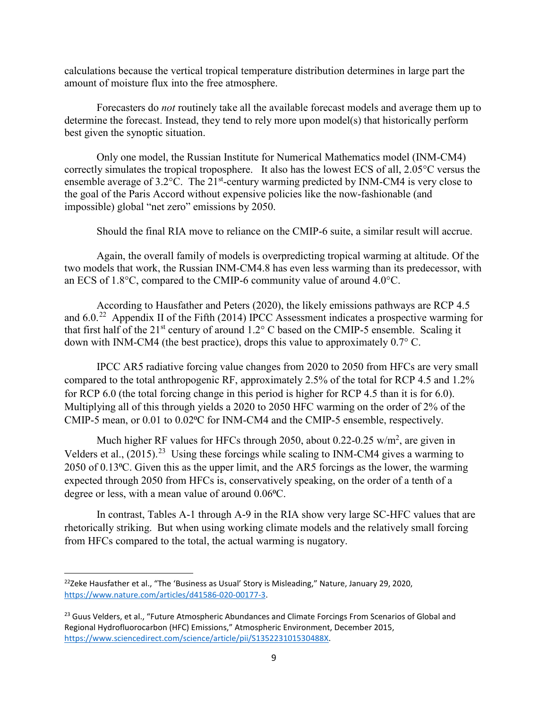calculations because the vertical tropical temperature distribution determines in large part the amount of moisture flux into the free atmosphere.

Forecasters do *not* routinely take all the available forecast models and average them up to determine the forecast. Instead, they tend to rely more upon model(s) that historically perform best given the synoptic situation.

Only one model, the Russian Institute for Numerical Mathematics model (INM-CM4) correctly simulates the tropical troposphere. It also has the lowest ECS of all, 2.05°C versus the ensemble average of  $3.2^{\circ}$ C. The  $21^{\text{st}}$ -century warming predicted by INM-CM4 is very close to the goal of the Paris Accord without expensive policies like the now-fashionable (and impossible) global "net zero" emissions by 2050.

Should the final RIA move to reliance on the CMIP-6 suite, a similar result will accrue.

Again, the overall family of models is overpredicting tropical warming at altitude. Of the two models that work, the Russian INM-CM4.8 has even less warming than its predecessor, with an ECS of 1.8°C, compared to the CMIP-6 community value of around 4.0°C.

According to Hausfather and Peters (2020), the likely emissions pathways are RCP 4.5 and  $6.0<sup>22</sup>$  $6.0<sup>22</sup>$  $6.0<sup>22</sup>$  Appendix II of the Fifth (2014) IPCC Assessment indicates a prospective warming for that first half of the  $21<sup>st</sup>$  century of around  $1.2<sup>°</sup>$  C based on the CMIP-5 ensemble. Scaling it down with INM-CM4 (the best practice), drops this value to approximately 0.7° C.

IPCC AR5 radiative forcing value changes from 2020 to 2050 from HFCs are very small compared to the total anthropogenic RF, approximately 2.5% of the total for RCP 4.5 and 1.2% for RCP 6.0 (the total forcing change in this period is higher for RCP 4.5 than it is for 6.0). Multiplying all of this through yields a 2020 to 2050 HFC warming on the order of 2% of the CMIP-5 mean, or 0.01 to 0.02<sup>o</sup>C for INM-CM4 and the CMIP-5 ensemble, respectively.

Much higher RF values for HFCs through 2050, about 0.22-0.25  $w/m^2$ , are given in Velders et al., (2015).<sup>[23](#page-8-1)</sup> Using these forcings while scaling to INM-CM4 gives a warming to 2050 of 0.13⁰C. Given this as the upper limit, and the AR5 forcings as the lower, the warming expected through 2050 from HFCs is, conservatively speaking, on the order of a tenth of a degree or less, with a mean value of around  $0.06$ °C.

In contrast, Tables A-1 through A-9 in the RIA show very large SC-HFC values that are rhetorically striking. But when using working climate models and the relatively small forcing from HFCs compared to the total, the actual warming is nugatory.

<span id="page-8-0"></span> $22$ Zeke Hausfather et al., "The 'Business as Usual' Story is Misleading," Nature, January 29, 2020, [https://www.nature.com/articles/d41586-020-00177-3.](https://www.nature.com/articles/d41586-020-00177-3)

<span id="page-8-1"></span><sup>&</sup>lt;sup>23</sup> Guus Velders, et al., "Future Atmospheric Abundances and Climate Forcings From Scenarios of Global and Regional Hydrofluorocarbon (HFC) Emissions," Atmospheric Environment, December 2015, [https://www.sciencedirect.com/science/article/pii/S135223101530488X.](https://www.sciencedirect.com/science/article/pii/S135223101530488X)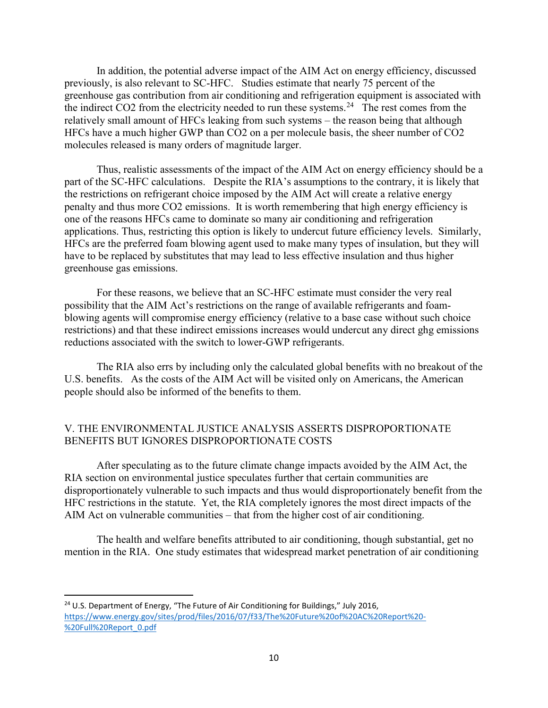In addition, the potential adverse impact of the AIM Act on energy efficiency, discussed previously, is also relevant to SC-HFC. Studies estimate that nearly 75 percent of the greenhouse gas contribution from air conditioning and refrigeration equipment is associated with the indirect CO2 from the electricity needed to run these systems.<sup>24</sup> The rest comes from the relatively small amount of HFCs leaking from such systems – the reason being that although HFCs have a much higher GWP than CO2 on a per molecule basis, the sheer number of CO2 molecules released is many orders of magnitude larger.

Thus, realistic assessments of the impact of the AIM Act on energy efficiency should be a part of the SC-HFC calculations. Despite the RIA's assumptions to the contrary, it is likely that the restrictions on refrigerant choice imposed by the AIM Act will create a relative energy penalty and thus more CO2 emissions. It is worth remembering that high energy efficiency is one of the reasons HFCs came to dominate so many air conditioning and refrigeration applications. Thus, restricting this option is likely to undercut future efficiency levels. Similarly, HFCs are the preferred foam blowing agent used to make many types of insulation, but they will have to be replaced by substitutes that may lead to less effective insulation and thus higher greenhouse gas emissions.

For these reasons, we believe that an SC-HFC estimate must consider the very real possibility that the AIM Act's restrictions on the range of available refrigerants and foamblowing agents will compromise energy efficiency (relative to a base case without such choice restrictions) and that these indirect emissions increases would undercut any direct ghg emissions reductions associated with the switch to lower-GWP refrigerants.

The RIA also errs by including only the calculated global benefits with no breakout of the U.S. benefits. As the costs of the AIM Act will be visited only on Americans, the American people should also be informed of the benefits to them.

# V. THE ENVIRONMENTAL JUSTICE ANALYSIS ASSERTS DISPROPORTIONATE BENEFITS BUT IGNORES DISPROPORTIONATE COSTS

After speculating as to the future climate change impacts avoided by the AIM Act, the RIA section on environmental justice speculates further that certain communities are disproportionately vulnerable to such impacts and thus would disproportionately benefit from the HFC restrictions in the statute. Yet, the RIA completely ignores the most direct impacts of the AIM Act on vulnerable communities – that from the higher cost of air conditioning.

The health and welfare benefits attributed to air conditioning, though substantial, get no mention in the RIA. One study estimates that widespread market penetration of air conditioning

<span id="page-9-0"></span><sup>&</sup>lt;sup>24</sup> U.S. Department of Energy, "The Future of Air Conditioning for Buildings," July 2016, [https://www.energy.gov/sites/prod/files/2016/07/f33/The%20Future%20of%20AC%20Report%20-](https://www.energy.gov/sites/prod/files/2016/07/f33/The%20Future%20of%20AC%20Report%20-%20Full%20Report_0.pdf) [%20Full%20Report\\_0.pdf](https://www.energy.gov/sites/prod/files/2016/07/f33/The%20Future%20of%20AC%20Report%20-%20Full%20Report_0.pdf)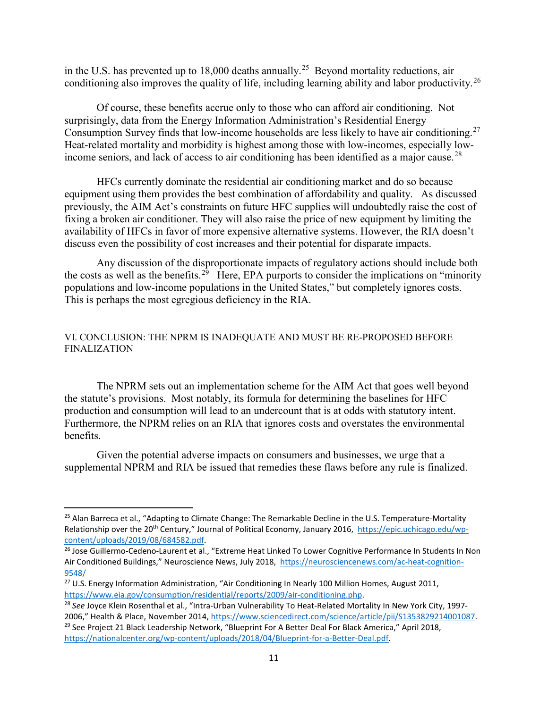in the U.S. has prevented up to 18,000 deaths annually.<sup>25</sup> Beyond mortality reductions, air conditioning also improves the quality of life, including learning ability and labor productivity.<sup>[26](#page-10-1)</sup>

Of course, these benefits accrue only to those who can afford air conditioning. Not surprisingly, data from the Energy Information Administration's Residential Energy Consumption Survey finds that low-income households are less likely to have air conditioning.<sup>[27](#page-10-2)</sup> Heat-related mortality and morbidity is highest among those with low-incomes, especially low-income seniors, and lack of access to air conditioning has been identified as a major cause.<sup>[28](#page-10-3)</sup>

HFCs currently dominate the residential air conditioning market and do so because equipment using them provides the best combination of affordability and quality. As discussed previously, the AIM Act's constraints on future HFC supplies will undoubtedly raise the cost of fixing a broken air conditioner. They will also raise the price of new equipment by limiting the availability of HFCs in favor of more expensive alternative systems. However, the RIA doesn't discuss even the possibility of cost increases and their potential for disparate impacts.

Any discussion of the disproportionate impacts of regulatory actions should include both the costs as well as the benefits.<sup>29</sup> Here, EPA purports to consider the implications on "minority" populations and low-income populations in the United States," but completely ignores costs. This is perhaps the most egregious deficiency in the RIA.

### VI. CONCLUSION: THE NPRM IS INADEQUATE AND MUST BE RE-PROPOSED BEFORE FINALIZATION

The NPRM sets out an implementation scheme for the AIM Act that goes well beyond the statute's provisions. Most notably, its formula for determining the baselines for HFC production and consumption will lead to an undercount that is at odds with statutory intent. Furthermore, the NPRM relies on an RIA that ignores costs and overstates the environmental benefits.

Given the potential adverse impacts on consumers and businesses, we urge that a supplemental NPRM and RIA be issued that remedies these flaws before any rule is finalized.

<span id="page-10-0"></span><sup>&</sup>lt;sup>25</sup> Alan Barreca et al., "Adapting to Climate Change: The Remarkable Decline in the U.S. Temperature-Mortality Relationship over the 20th Century," Journal of Political Economy, January 2016, [https://epic.uchicago.edu/wp](https://epic.uchicago.edu/wp-content/uploads/2019/08/684582.pdf)[content/uploads/2019/08/684582.pdf.](https://epic.uchicago.edu/wp-content/uploads/2019/08/684582.pdf)<br><sup>26</sup> Jose Guillermo-Cedeno-Laurent et al., "Extreme Heat Linked To Lower Cognitive Performance In Students In Non

<span id="page-10-1"></span>Air Conditioned Buildings," Neuroscience News, July 2018, [https://neurosciencenews.com/ac-heat-cognition-](https://neurosciencenews.com/ac-heat-cognition-9548/)[9548/](https://neurosciencenews.com/ac-heat-cognition-9548/)

<span id="page-10-2"></span><sup>&</sup>lt;sup>27</sup> U.S. Energy Information Administration, "Air Conditioning In Nearly 100 Million Homes, August 2011, https://www.eia.gov/consumption/residential/reports/2009/air-conditioning.php.

<span id="page-10-4"></span><span id="page-10-3"></span><sup>&</sup>lt;sup>28</sup> See Joyce Klein Rosenthal et al., "Intra-Urban Vulnerability To Heat-Related Mortality In New York City, 19972006," Health & Place, November 2014, [https://www.sciencedirect.com/science/article/pii/S1353829214001087.](https://www.sciencedirect.com/science/article/pii/S1353829214001087)<br><sup>29</sup> See Project 21 Black Leadership Network, "Blueprint For A Better Deal For Black America," April 2018, [https://nationalcenter.org/wp-content/uploads/2018/04/Blueprint-for-a-Better-Deal.pdf.](https://nationalcenter.org/wp-content/uploads/2018/04/Blueprint-for-a-Better-Deal.pdf)